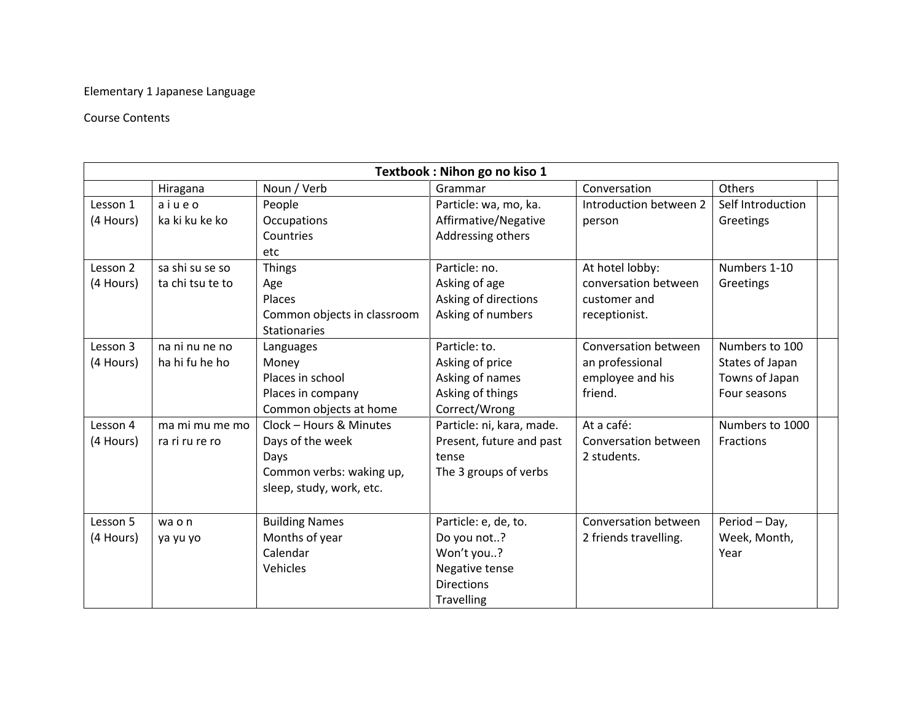## Elementary 1 Japanese Language

## Course Contents

| Textbook: Nihon go no kiso 1 |                  |                             |                           |                        |                   |  |  |  |  |
|------------------------------|------------------|-----------------------------|---------------------------|------------------------|-------------------|--|--|--|--|
|                              | Hiragana         | Noun / Verb                 | Grammar                   | Conversation           | Others            |  |  |  |  |
| Lesson 1                     | aiueo            | People                      | Particle: wa, mo, ka.     | Introduction between 2 | Self Introduction |  |  |  |  |
| (4 Hours)                    | ka ki ku ke ko   | Occupations                 | Affirmative/Negative      | person                 | Greetings         |  |  |  |  |
|                              |                  | Countries                   | Addressing others         |                        |                   |  |  |  |  |
|                              |                  | etc                         |                           |                        |                   |  |  |  |  |
| Lesson 2                     | sa shi su se so  | <b>Things</b>               | Particle: no.             | At hotel lobby:        | Numbers 1-10      |  |  |  |  |
| (4 Hours)                    | ta chi tsu te to | Age                         | Asking of age             | conversation between   | Greetings         |  |  |  |  |
|                              |                  | Places                      | Asking of directions      | customer and           |                   |  |  |  |  |
|                              |                  | Common objects in classroom | Asking of numbers         | receptionist.          |                   |  |  |  |  |
|                              |                  | <b>Stationaries</b>         |                           |                        |                   |  |  |  |  |
| Lesson 3                     | na ni nu ne no   | Languages                   | Particle: to.             | Conversation between   | Numbers to 100    |  |  |  |  |
| (4 Hours)                    | ha hi fu he ho   | Money                       | Asking of price           | an professional        | States of Japan   |  |  |  |  |
|                              |                  | Places in school            | Asking of names           | employee and his       | Towns of Japan    |  |  |  |  |
|                              |                  | Places in company           | Asking of things          | friend.                | Four seasons      |  |  |  |  |
|                              |                  | Common objects at home      | Correct/Wrong             |                        |                   |  |  |  |  |
| Lesson 4                     | ma mi mu me mo   | Clock - Hours & Minutes     | Particle: ni, kara, made. | At a café:             | Numbers to 1000   |  |  |  |  |
| (4 Hours)                    | ra ri ru re ro   | Days of the week            | Present, future and past  | Conversation between   | Fractions         |  |  |  |  |
|                              |                  | Days                        | tense                     | 2 students.            |                   |  |  |  |  |
|                              |                  | Common verbs: waking up,    | The 3 groups of verbs     |                        |                   |  |  |  |  |
|                              |                  | sleep, study, work, etc.    |                           |                        |                   |  |  |  |  |
|                              |                  |                             |                           |                        |                   |  |  |  |  |
| Lesson 5                     | wa o n           | <b>Building Names</b>       | Particle: e, de, to.      | Conversation between   | Period - Day,     |  |  |  |  |
| (4 Hours)                    | ya yu yo         | Months of year              | Do you not?               | 2 friends travelling.  | Week, Month,      |  |  |  |  |
|                              |                  | Calendar                    | Won't you?                |                        | Year              |  |  |  |  |
|                              |                  | Vehicles                    | Negative tense            |                        |                   |  |  |  |  |
|                              |                  |                             | <b>Directions</b>         |                        |                   |  |  |  |  |
|                              |                  |                             | <b>Travelling</b>         |                        |                   |  |  |  |  |